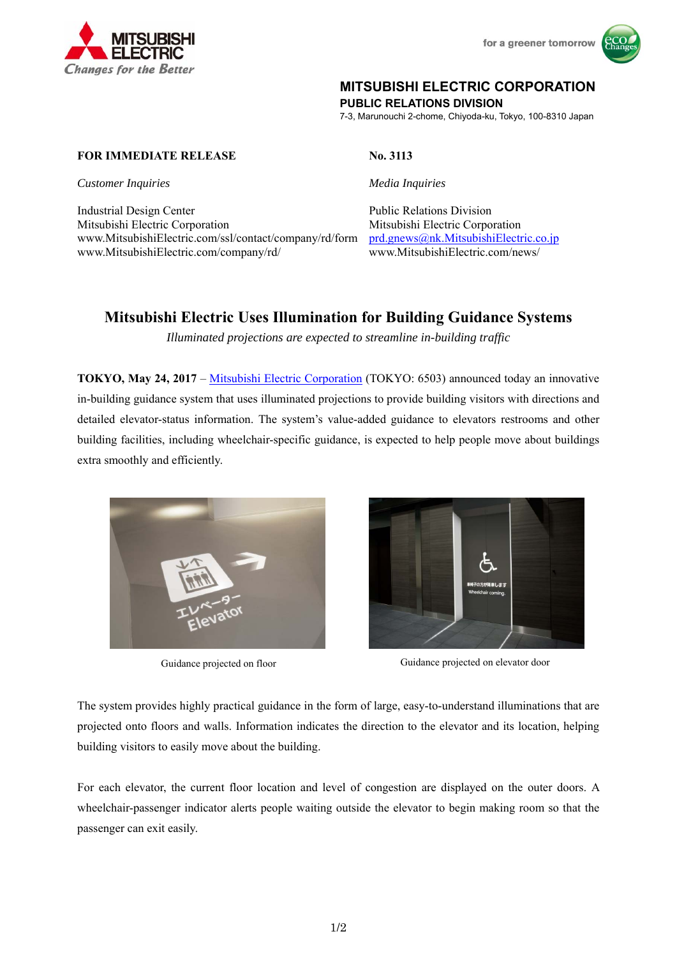



# **MITSUBISHI ELECTRIC CORPORATION**

**PUBLIC RELATIONS DIVISION** 

7-3, Marunouchi 2-chome, Chiyoda-ku, Tokyo, 100-8310 Japan

## **FOR IMMEDIATE RELEASE** No. 3113

*Customer Inquiries* Media Inquiries **Media Inquiries** *Media Inquiries* 

Industrial Design Center **Public Relations Division** Public Relations Division Mitsubishi Electric Corporation Mitsubishi Electric Corporation www.MitsubishiElectric.com/ssl/contact/company/rd/form prd.gnews@nk.MitsubishiElectric.co.jp www.MitsubishiElectric.com/company/rd/ www.MitsubishiElectric.com/news/

# **Mitsubishi Electric Uses Illumination for Building Guidance Systems**

*Illuminated projections are expected to streamline in-building traffic* 

**TOKYO, May 24, 2017** – Mitsubishi Electric Corporation (TOKYO: 6503) announced today an innovative in-building guidance system that uses illuminated projections to provide building visitors with directions and detailed elevator-status information. The system's value-added guidance to elevators restrooms and other building facilities, including wheelchair-specific guidance, is expected to help people move about buildings extra smoothly and efficiently.





Guidance projected on floor Guidance projected on elevator door

The system provides highly practical guidance in the form of large, easy-to-understand illuminations that are projected onto floors and walls. Information indicates the direction to the elevator and its location, helping building visitors to easily move about the building.

For each elevator, the current floor location and level of congestion are displayed on the outer doors. A wheelchair-passenger indicator alerts people waiting outside the elevator to begin making room so that the passenger can exit easily.